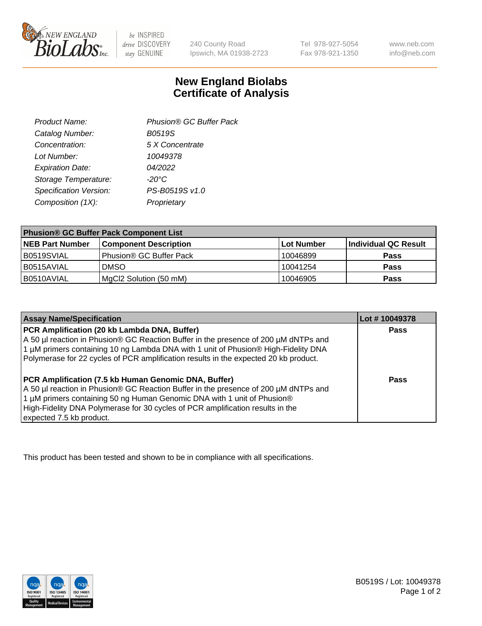

 $be$  INSPIRED drive DISCOVERY stay GENUINE

240 County Road Ipswich, MA 01938-2723

Tel 978-927-5054 Fax 978-921-1350 www.neb.com info@neb.com

## **New England Biolabs Certificate of Analysis**

| Phusion® GC Buffer Pack |
|-------------------------|
| <b>B0519S</b>           |
| 5 X Concentrate         |
| 10049378                |
| 04/2022                 |
| $-20^{\circ}$ C         |
| PS-B0519S v1.0          |
| Proprietary             |
|                         |

| <b>Phusion® GC Buffer Pack Component List</b> |                              |            |                      |  |
|-----------------------------------------------|------------------------------|------------|----------------------|--|
| <b>NEB Part Number</b>                        | <b>Component Description</b> | Lot Number | Individual QC Result |  |
| B0519SVIAL                                    | Phusion® GC Buffer Pack      | 10046899   | <b>Pass</b>          |  |
| B0515AVIAL                                    | <b>DMSO</b>                  | 10041254   | <b>Pass</b>          |  |
| B0510AVIAL                                    | MgCl2 Solution (50 mM)       | 10046905   | <b>Pass</b>          |  |

| <b>Assay Name/Specification</b>                                                                                                                                                                                                                                                                                                             | Lot #10049378 |
|---------------------------------------------------------------------------------------------------------------------------------------------------------------------------------------------------------------------------------------------------------------------------------------------------------------------------------------------|---------------|
| PCR Amplification (20 kb Lambda DNA, Buffer)<br>A 50 µl reaction in Phusion® GC Reaction Buffer in the presence of 200 µM dNTPs and<br>1 μM primers containing 10 ng Lambda DNA with 1 unit of Phusion® High-Fidelity DNA<br>Polymerase for 22 cycles of PCR amplification results in the expected 20 kb product.                           | <b>Pass</b>   |
| <b>PCR Amplification (7.5 kb Human Genomic DNA, Buffer)</b><br>A 50 µl reaction in Phusion® GC Reaction Buffer in the presence of 200 µM dNTPs and<br>1 µM primers containing 50 ng Human Genomic DNA with 1 unit of Phusion®<br>High-Fidelity DNA Polymerase for 30 cycles of PCR amplification results in the<br>expected 7.5 kb product. | <b>Pass</b>   |

This product has been tested and shown to be in compliance with all specifications.